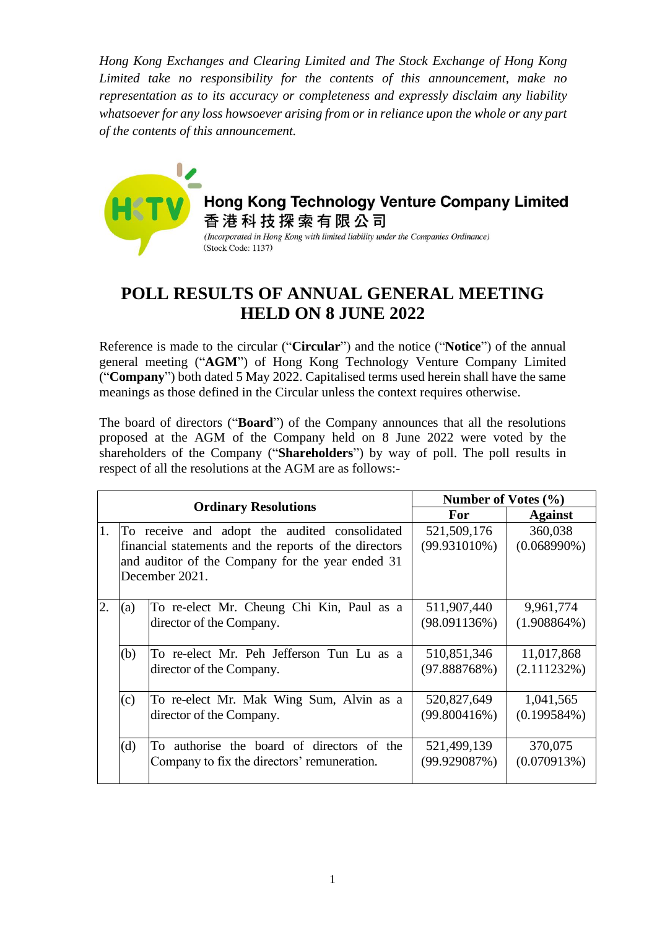*Hong Kong Exchanges and Clearing Limited and The Stock Exchange of Hong Kong Limited take no responsibility for the contents of this announcement, make no representation as to its accuracy or completeness and expressly disclaim any liability whatsoever for any loss howsoever arising from or in reliance upon the whole or any part of the contents of this announcement.*



Hong Kong Technology Venture Company Limited 香港科技探索有限公司 (Incorporated in Hong Kong with limited liability under the Companies Ordinance) (Stock Code: 1137)

## **POLL RESULTS OF ANNUAL GENERAL MEETING HELD ON 8 JUNE 2022**

Reference is made to the circular ("**Circular**") and the notice ("**Notice**") of the annual general meeting ("**AGM**") of Hong Kong Technology Venture Company Limited ("**Company**") both dated 5 May 2022. Capitalised terms used herein shall have the same meanings as those defined in the Circular unless the context requires otherwise.

The board of directors ("**Board**") of the Company announces that all the resolutions proposed at the AGM of the Company held on 8 June 2022 were voted by the shareholders of the Company ("**Shareholders**") by way of poll. The poll results in respect of all the resolutions at the AGM are as follows:-

|     |     |                                                       | Number of Votes $(\% )$ |                |
|-----|-----|-------------------------------------------------------|-------------------------|----------------|
|     |     | <b>Ordinary Resolutions</b>                           | For                     | <b>Against</b> |
| 11. |     | To receive and adopt the audited consolidated         | 521,509,176             | 360,038        |
|     |     | financial statements and the reports of the directors | $(99.931010\%)$         | $(0.068990\%)$ |
|     |     | and auditor of the Company for the year ended 31      |                         |                |
|     |     | December 2021.                                        |                         |                |
|     |     |                                                       |                         |                |
| 2.  | (a) | To re-elect Mr. Cheung Chi Kin, Paul as a             | 511,907,440             | 9,961,774      |
|     |     | director of the Company.                              | (98.091136%)            | $(1.908864\%)$ |
|     |     |                                                       |                         |                |
|     | (b) | To re-elect Mr. Peh Jefferson Tun Lu as a             | 510,851,346             | 11,017,868     |
|     |     | director of the Company.                              | (97.888768%)            | (2.111232%)    |
|     |     |                                                       |                         |                |
|     | (c) | To re-elect Mr. Mak Wing Sum, Alvin as a              | 520,827,649             | 1,041,565      |
|     |     | director of the Company.                              | (99.800416%)            | $(0.199584\%)$ |
|     |     |                                                       |                         |                |
|     | (d) | To authorise the board of directors of the            | 521,499,139             | 370,075        |
|     |     | Company to fix the directors' remuneration.           | (99.929087%)            | (0.070913%)    |
|     |     |                                                       |                         |                |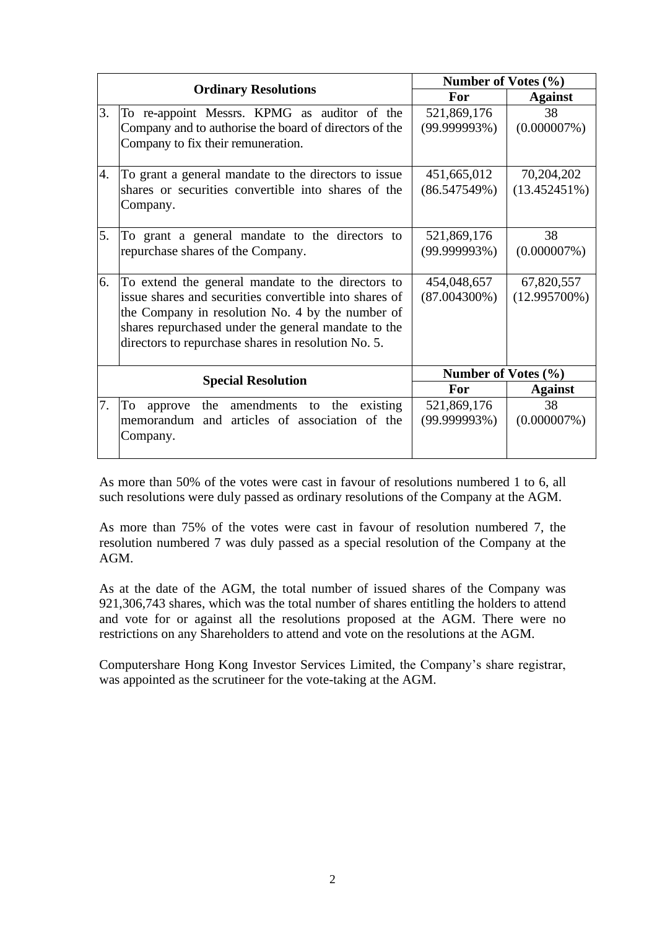|    |                                                        | Number of Votes (%) |                 |
|----|--------------------------------------------------------|---------------------|-----------------|
|    | <b>Ordinary Resolutions</b>                            | For                 | <b>Against</b>  |
| 3. | To re-appoint Messrs. KPMG as auditor of the           | 521,869,176         | 38              |
|    | Company and to authorise the board of directors of the | (99.999993%)        | $(0.000007\%)$  |
|    | Company to fix their remuneration.                     |                     |                 |
|    |                                                        |                     |                 |
| 4. | To grant a general mandate to the directors to issue   | 451,665,012         | 70,204,202      |
|    | shares or securities convertible into shares of the    | (86.547549%)        | (13.452451%)    |
|    | Company.                                               |                     |                 |
| 5. | To grant a general mandate to the directors to         | 521,869,176         | 38              |
|    | repurchase shares of the Company.                      | (99.999993%)        | $(0.000007\%)$  |
|    |                                                        |                     |                 |
| 6. | To extend the general mandate to the directors to      | 454,048,657         | 67,820,557      |
|    | issue shares and securities convertible into shares of | $(87.004300\%)$     | $(12.995700\%)$ |
|    | the Company in resolution No. 4 by the number of       |                     |                 |
|    | shares repurchased under the general mandate to the    |                     |                 |
|    | directors to repurchase shares in resolution No. 5.    |                     |                 |
|    |                                                        | Number of Votes (%) |                 |
|    | <b>Special Resolution</b>                              | For                 | <b>Against</b>  |
| 7. | To<br>the amendments to the<br>existing<br>approve     | 521,869,176         | 38              |
|    | memorandum and articles of association of the          | (99.999993%)        | $(0.000007\%)$  |
|    | Company.                                               |                     |                 |
|    |                                                        |                     |                 |

As more than 50% of the votes were cast in favour of resolutions numbered 1 to 6, all such resolutions were duly passed as ordinary resolutions of the Company at the AGM.

As more than 75% of the votes were cast in favour of resolution numbered 7, the resolution numbered 7 was duly passed as a special resolution of the Company at the AGM.

As at the date of the AGM, the total number of issued shares of the Company was 921,306,743 shares, which was the total number of shares entitling the holders to attend and vote for or against all the resolutions proposed at the AGM. There were no restrictions on any Shareholders to attend and vote on the resolutions at the AGM.

Computershare Hong Kong Investor Services Limited, the Company's share registrar, was appointed as the scrutineer for the vote-taking at the AGM.